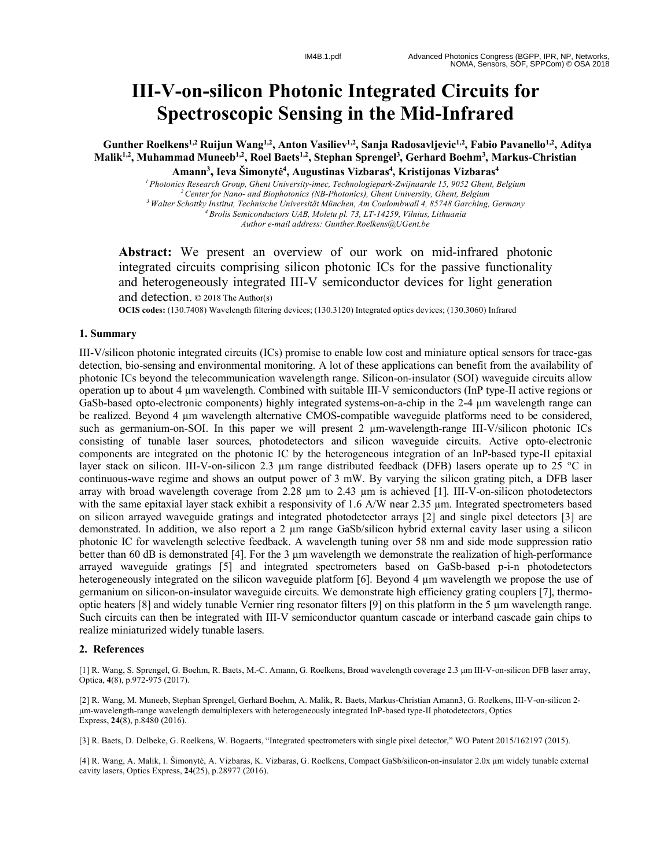## **III - V -on -silicon Photonic Integrated Circuits for Spectroscopic Sensing in the Mid -Infrared**

Gunther Roelkens<sup>1,2</sup> Ruijun Wang<sup>1,2</sup>, Anton Vasiliev<sup>1,2</sup>, Sanja Radosavljevic<sup>1,2</sup>, Fabio Pavanello<sup>1,2</sup>, Aditya **Malik1,2, Muhammad Muneeb1,2 , Roel Baets1,2, Stephan Sprengel 3 , Gerhard Boehm 3 , Markus -Christian Amann 3 , Ieva Šimonyt ė 4 , Augustinas Vizbaras 4 , Kristijonas Vizbaras 4**

*1 Photonics Research Group, Ghent University -imec, Technologiepark-Zwijnaarde 15, 9052 Ghent, Belgium 2 Center for Nano- and Biophotonics (NB-Photonics), Ghent University, Ghent, Belgium 3 Walter Schottky Institut, Technische Universität München, Am Coulombwall 4, 85748 Garching, Germany 4 Brolis Semiconductors UAB, Moletu pl. 73, LT-14259, Vilnius, Lithuania Author e -mail address: Gunther.Roelkens@UGent.be*

Abstract: We present an overview of our work on mid-infrared photonic integrated circuits comprising silicon photonic ICs for the passive functionality and heterogeneously integrated III -V semiconductor devices for light generation and detection. © 2018 The Author(s)

**OCIS codes:** (130.7408) Wavelength filtering devices; (130.3120) Integrated optics devices; (130.3060) Infrared

## **1. Summary**

III -V/silicon photonic integrated circuits (ICs) promise to enable low cost and miniature optical sensors for trace -gas detection, bio-sensing and environmental monitoring. A lot of these applications can benefit from the availability of photonic ICs beyond the telecommunication wavelength range. Silicon -on -insulator (SOI) waveguide circuits allow operation up to about 4 µm wavelength. Combined with suitable III -V semiconductors (InP type -II active regions or GaSb-based opto-electronic components) highly integrated systems-on-a-chip in the 2-4  $\mu$ m wavelength range can be realized. Beyond 4  $\mu$ m wavelength alternative CMOS-compatible waveguide platforms need to be considered, such as germanium-on-SOI. In this paper we will present 2  $\mu$ m-wavelength-range III-V/silicon photonic ICs consisting of tunable laser sources, photodetectors and silicon waveguide circuits. Active opto -electronic components are integrated on the photonic IC by the heterogeneous integration of an InP -based type -II epitaxial layer stack on silicon. III-V-on-silicon 2.3 µm range distributed feedback (DFB) lasers operate up to 25 °C in continuous -wave regime and shows an output power of 3 mW. By varying the silicon grating pitch, a DFB laser array with broad wavelength coverage from 2.28  $\mu$ m to 2.43  $\mu$ m is achieved [1]. III-V-on-silicon photodetectors with the same epitaxial layer stack exhibit a responsivity of 1.6 A/W near 2.35  $\mu$ m. Integrated spectrometers based on silicon arrayed waveguide gratings and integrated photodetector arrays [2] and single pixel detectors [3] are demonstrated. In addition, we also report a 2  $\mu$ m range GaSb/silicon hybrid external cavity laser using a silicon photonic IC for wavelength selective feedback. A wavelength tuning over 58 nm and side mode suppression ratio better than 60 dB is demonstrated [4]. For the 3  $\mu$ m wavelength we demonstrate the realization of high-performance arrayed waveguide gratings [5] and integrated spectrometers based on GaSb-based p-i-n photodetectors heterogeneously integrated on the silicon waveguide platform [6]. Beyond 4  $\mu$ m wavelength we propose the use of germanium on silicon-on-insulator waveguide circuits. We demonstrate high efficiency grating couplers [7], thermooptic heaters [8] and widely tunable Vernier ring resonator filters [9] on this platform in the 5 µ m wavelength range. Such circuits can then be integrated with III -V semiconductor quantum cascade or interband cascade gain chips to realize miniaturized widely tunable lasers .

## **2. References**

[1] R. Wang, S. Sprengel, G. Boehm, R. Baets, M.-C. Amann, G. Roelkens, Broad wavelength coverage 2.3 µm III-V-on-silicon DFB laser array, Optica, 4(8), p.972-975 (2017).

[2] R. Wang, M. Muneeb, Stephan Sprengel, Gerhard Boehm, A. Malik, R. Baets, Markus-Christian Amann3, G. Roelkens, III-V-on-silicon 2µm -wavelength -range wavelength demultiplexers with heterogeneously integrated InP -based type -II photodetectors, Optics Express, **24**(8), p.8480 (2016) .

[3] R. Baets, D. Delbeke, G. Roelkens, W. Bogaerts, "Integrated spectrometers with single pixel detector," WO Patent 2015/162197 (2015).

[4] R. Wang, A. Malik, I . Šimonyt ė, A . Vizbaras, K . Vizbaras, G. Roelkens, Compact GaSb/silicon -on -insulator 2.0x µm widely tunable external cavity lasers, Optics Express, **24**(25), p.28977 (2016) .